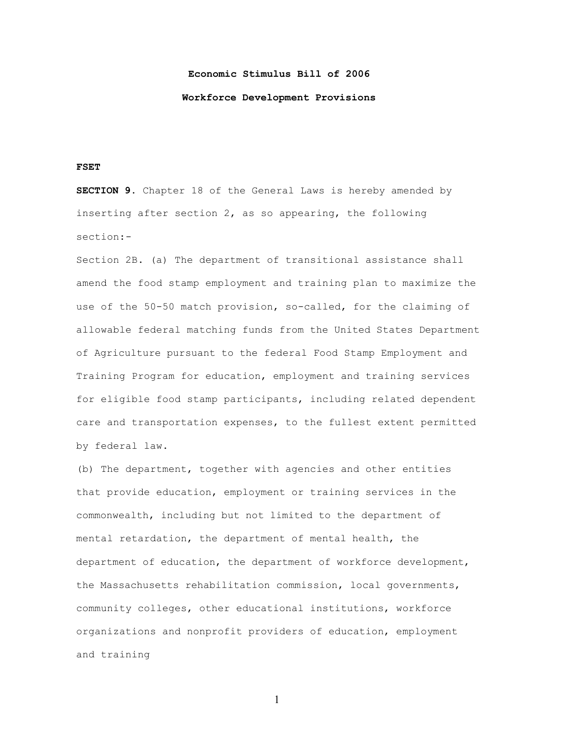## **Economic Stimulus Bill of 2006**

## **Workforce Development Provisions**

## **FSET**

**SECTION 9.** Chapter 18 of the General Laws is hereby amended by inserting after section 2, as so appearing, the following section:-

Section 2B. (a) The department of transitional assistance shall amend the food stamp employment and training plan to maximize the use of the 50-50 match provision, so-called, for the claiming of allowable federal matching funds from the United States Department of Agriculture pursuant to the federal Food Stamp Employment and Training Program for education, employment and training services for eligible food stamp participants, including related dependent care and transportation expenses, to the fullest extent permitted by federal law.

(b) The department, together with agencies and other entities that provide education, employment or training services in the commonwealth, including but not limited to the department of mental retardation, the department of mental health, the department of education, the department of workforce development, the Massachusetts rehabilitation commission, local governments, community colleges, other educational institutions, workforce organizations and nonprofit providers of education, employment and training

1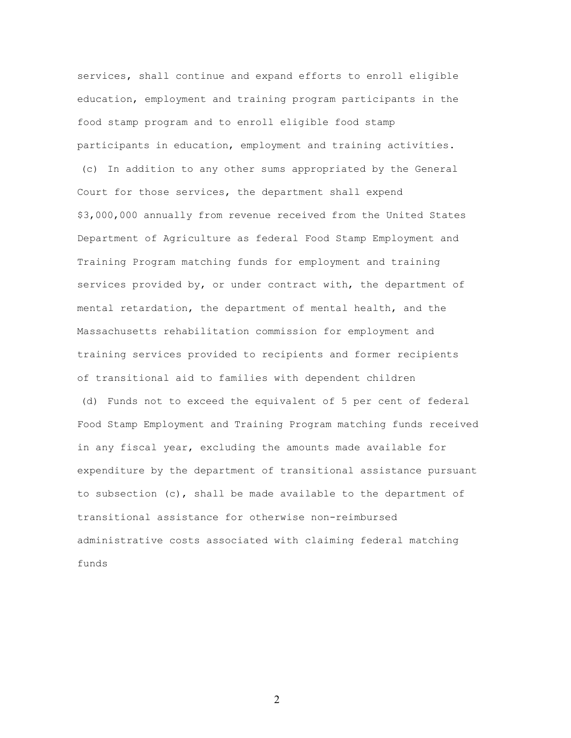services, shall continue and expand efforts to enroll eligible education, employment and training program participants in the food stamp program and to enroll eligible food stamp participants in education, employment and training activities.

(c) In addition to any other sums appropriated by the General Court for those services, the department shall expend \$3,000,000 annually from revenue received from the United States Department of Agriculture as federal Food Stamp Employment and Training Program matching funds for employment and training services provided by, or under contract with, the department of mental retardation, the department of mental health, and the Massachusetts rehabilitation commission for employment and training services provided to recipients and former recipients of transitional aid to families with dependent children

(d) Funds not to exceed the equivalent of 5 per cent of federal Food Stamp Employment and Training Program matching funds received in any fiscal year, excluding the amounts made available for expenditure by the department of transitional assistance pursuant to subsection (c), shall be made available to the department of transitional assistance for otherwise non-reimbursed administrative costs associated with claiming federal matching funds

2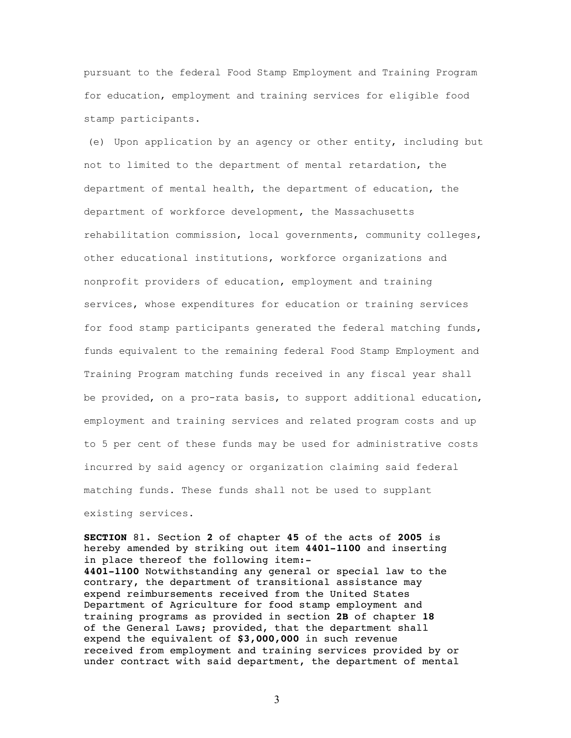pursuant to the federal Food Stamp Employment and Training Program for education, employment and training services for eligible food stamp participants.

(e) Upon application by an agency or other entity, including but not to limited to the department of mental retardation, the department of mental health, the department of education, the department of workforce development, the Massachusetts rehabilitation commission, local governments, community colleges, other educational institutions, workforce organizations and nonprofit providers of education, employment and training services, whose expenditures for education or training services for food stamp participants generated the federal matching funds, funds equivalent to the remaining federal Food Stamp Employment and Training Program matching funds received in any fiscal year shall be provided, on a pro-rata basis, to support additional education, employment and training services and related program costs and up to 5 per cent of these funds may be used for administrative costs incurred by said agency or organization claiming said federal matching funds. These funds shall not be used to supplant existing services.

**SECTION** 81. Section **2** of chapter **45** of the acts of **2005** is hereby amended by striking out item **4401-1100** and inserting in place thereof the following item:- **4401-1100** Notwithstanding any general or special law to the contrary, the department of transitional assistance may expend reimbursements received from the United States Department of Agriculture for food stamp employment and training programs as provided in section **2B** of chapter **18** of the General Laws; provided, that the department shall expend the equivalent of **\$3,000,000** in such revenue received from employment and training services provided by or under contract with said department, the department of mental

3